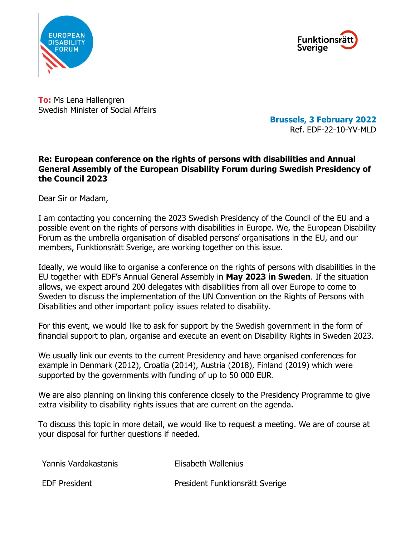



**To:** Ms Lena Hallengren Swedish Minister of Social Affairs

**Brussels, 3 February 2022** Ref. EDF-22-10-YV-MLD

## **Re: European conference on the rights of persons with disabilities and Annual General Assembly of the European Disability Forum during Swedish Presidency of the Council 2023**

Dear Sir or Madam,

I am contacting you concerning the 2023 Swedish Presidency of the Council of the EU and a possible event on the rights of persons with disabilities in Europe. We, the European Disability Forum as the umbrella organisation of disabled persons' organisations in the EU, and our members, Funktionsrätt Sverige, are working together on this issue.

Ideally, we would like to organise a conference on the rights of persons with disabilities in the EU together with EDF's Annual General Assembly in **May 2023 in Sweden**. If the situation allows, we expect around 200 delegates with disabilities from all over Europe to come to Sweden to discuss the implementation of the UN Convention on the Rights of Persons with Disabilities and other important policy issues related to disability.

For this event, we would like to ask for support by the Swedish government in the form of financial support to plan, organise and execute an event on Disability Rights in Sweden 2023.

We usually link our events to the current Presidency and have organised conferences for example in Denmark (2012), Croatia (2014), Austria (2018), Finland (2019) which were supported by the governments with funding of up to 50 000 EUR.

We are also planning on linking this conference closely to the Presidency Programme to give extra visibility to disability rights issues that are current on the agenda.

To discuss this topic in more detail, we would like to request a meeting. We are of course at your disposal for further questions if needed.

| Yannis Vardakastanis | Elisabeth Wallenius             |
|----------------------|---------------------------------|
| <b>EDF President</b> | President Funktionsrätt Sverige |